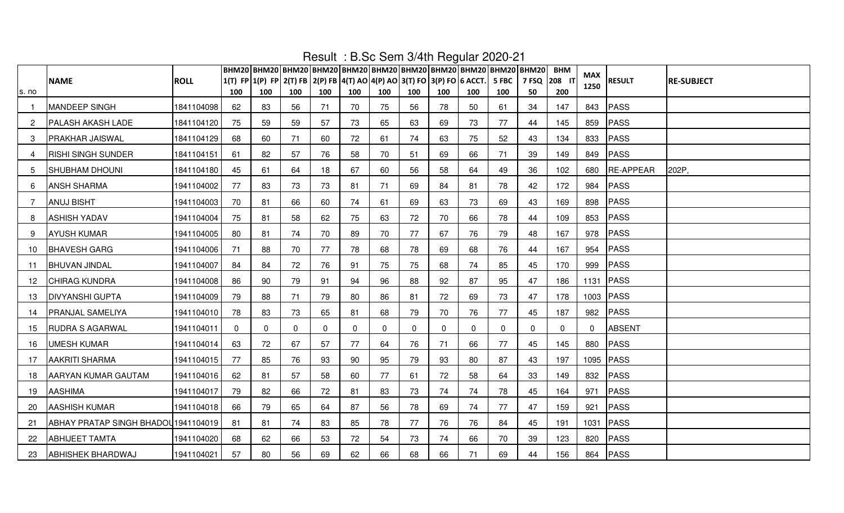|              |                                      |             |          | ВНМ20 ВНМ20 ВНМ20 ВНМ20 ВНМ20 ВНМ20 ВНМ20 ВНМ20 ВНМ20 ВНМ20 ВНМ20              |     |     |          |          |     | $1.000$ $1.00000$ $1.0000$ |              |              |                    | <b>BHM</b>  | MAX      |               |                   |
|--------------|--------------------------------------|-------------|----------|--------------------------------------------------------------------------------|-----|-----|----------|----------|-----|----------------------------|--------------|--------------|--------------------|-------------|----------|---------------|-------------------|
| s. no        | <b>NAME</b>                          | <b>ROLL</b> | 100      | 1(T) FP 1(P) FP 2(T) FB 2(P) FB 4(T) AO 4(P) AO 3(T) FO 3(P) FO 6 ACCT.<br>100 | 100 | 100 | 100      | 100      | 100 | 100                        | 100          | 5 FBC<br>100 | 7 FSQ 208 IT<br>50 | 200         | 1250     | <b>RESULT</b> | <b>RE-SUBJECT</b> |
| $\mathbf{1}$ | MANDEEP SINGH                        | 1841104098  | 62       | 83                                                                             | 56  | 71  | 70       | 75       | 56  | 78                         | 50           | 61           | 34                 | 147         | 843      | PASS          |                   |
| $\mathbf{2}$ | <b>PALASH AKASH LADE</b>             | 1841104120  | 75       | 59                                                                             | 59  | 57  | 73       | 65       | 63  | 69                         | 73           | 77           | 44                 | 145         |          | 859 PASS      |                   |
| 3            | <b>PRAKHAR JAISWAL</b>               | 1841104129  | 68       | 60                                                                             | 71  | 60  | 72       | 61       | 74  | 63                         | 75           | 52           | 43                 | 134         | 833      | PASS          |                   |
| 4            | <b>RISHI SINGH SUNDER</b>            | 1841104151  | 61       | 82                                                                             | 57  | 76  | 58       | 70       | 51  | 69                         | 66           | 71           | 39                 | 149         |          | 849 PASS      |                   |
| 5            | <b>SHUBHAM DHOUNI</b>                | 1841104180  | 45       | 61                                                                             | 64  | 18  | 67       | 60       | 56  | 58                         | 64           | 49           | 36                 | 102         |          | 680 RE-APPEAR | 202P,             |
| 6            | <b>ANSH SHARMA</b>                   | 1941104002  | 77       | 83                                                                             | 73  | 73  | 81       | 71       | 69  | 84                         | 81           | 78           | 42                 | 172         |          | 984 PASS      |                   |
| 7            | <b>ANUJ BISHT</b>                    | 1941104003  | 70       | 81                                                                             | 66  | 60  | 74       | 61       | 69  | 63                         | 73           | 69           | 43                 | 169         | 898      | PASS          |                   |
| 8            | <b>ASHISH YADAV</b>                  | 1941104004  | 75       | 81                                                                             | 58  | 62  | 75       | 63       | 72  | 70                         | 66           | 78           | 44                 | 109         |          | 853 PASS      |                   |
| 9            | <b>AYUSH KUMAR</b>                   | 1941104005  | 80       | 81                                                                             | 74  | 70  | 89       | 70       | 77  | 67                         | 76           | 79           | 48                 | 167         | 978      | <b>PASS</b>   |                   |
| 10           | <b>BHAVESH GARG</b>                  | 1941104006  | 71       | 88                                                                             | 70  | 77  | 78       | 68       | 78  | 69                         | 68           | 76           | 44                 | 167         | 954      | PASS          |                   |
| 11           | <b>BHUVAN JINDAL</b>                 | 1941104007  | 84       | 84                                                                             | 72  | 76  | 91       | 75       | 75  | 68                         | 74           | 85           | 45                 | 170         |          | 999 PASS      |                   |
| 12           | <b>CHIRAG KUNDRA</b>                 | 1941104008  | 86       | 90                                                                             | 79  | 91  | 94       | 96       | 88  | 92                         | 87           | 95           | 47                 | 186         |          | 1131 PASS     |                   |
| 13           | <b>DIVYANSHI GUPTA</b>               | 1941104009  | 79       | 88                                                                             | 71  | 79  | 80       | 86       | 81  | 72                         | 69           | 73           | 47                 | 178         |          | 1003 PASS     |                   |
| 14           | PRANJAL SAMELIYA                     | 1941104010  | 78       | 83                                                                             | 73  | 65  | 81       | 68       | 79  | 70                         | 76           | 77           | 45                 | 187         |          | 982 PASS      |                   |
| 15           | <b>RUDRA S AGARWAL</b>               | 1941104011  | $\Omega$ | $\mathbf 0$                                                                    | 0   | 0   | $\Omega$ | $\Omega$ | 0   | $\mathbf 0$                | $\mathbf{0}$ | $\mathbf{0}$ | $\Omega$           | $\mathbf 0$ | $\Omega$ | ABSENT        |                   |
| 16           | <b>UMESH KUMAR</b>                   | 1941104014  | 63       | 72                                                                             | 67  | 57  | 77       | 64       | 76  | 71                         | 66           | 77           | 45                 | 145         |          | 880 PASS      |                   |
| 17           | <b>AAKRITI SHARMA</b>                | 1941104015  | 77       | 85                                                                             | 76  | 93  | 90       | 95       | 79  | 93                         | 80           | 87           | 43                 | 197         |          | 1095 PASS     |                   |
| 18           | <b>AARYAN KUMAR GAUTAM</b>           | 1941104016  | 62       | 81                                                                             | 57  | 58  | 60       | 77       | 61  | 72                         | 58           | 64           | 33                 | 149         |          | 832 PASS      |                   |
| 19           | <b>AASHIMA</b>                       | 1941104017  | 79       | 82                                                                             | 66  | 72  | 81       | 83       | 73  | 74                         | 74           | 78           | 45                 | 164         | 971      | PASS          |                   |
| 20           | <b>AASHISH KUMAR</b>                 | 1941104018  | 66       | 79                                                                             | 65  | 64  | 87       | 56       | 78  | 69                         | 74           | 77           | 47                 | 159         | 921      | PASS          |                   |
| 21           | ABHAY PRATAP SINGH BHADOU 1941104019 |             | 81       | 81                                                                             | 74  | 83  | 85       | 78       | 77  | 76                         | 76           | 84           | 45                 | 191         | 1031     | PASS          |                   |
| 22           | <b>ABHIJEET TAMTA</b>                | 1941104020  | 68       | 62                                                                             | 66  | 53  | 72       | 54       | 73  | 74                         | 66           | 70           | 39                 | 123         |          | 820 PASS      |                   |
| 23           | <b>ABHISHEK BHARDWAJ</b>             | 1941104021  | 57       | 80                                                                             | 56  | 69  | 62       | 66       | 68  | 66                         | 71           | 69           | 44                 | 156         |          | 864 PASS      |                   |

Result : B.Sc Sem 3/4th Regular 2020-21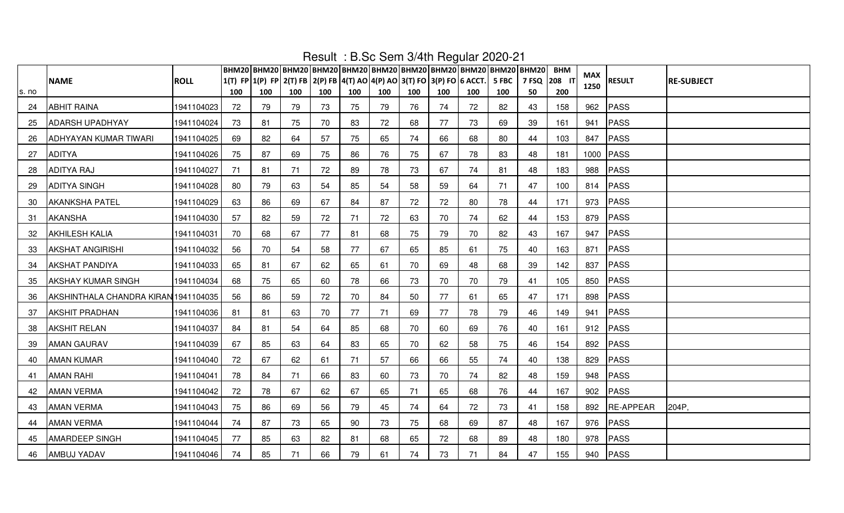|       |                                      |             |     |                                                                         |     |     |     |     |     |     | $1.000$ $1.00000$ $0.00000$ |       | ВНМ20 ВНМ20 ВНМ20 ВНМ20 ВНМ20 ВНМ20 ВНМ20 ВНМ20 ВНМ20 ВНМ20 ВНМ20 | <b>BHM</b> |             |               |                   |
|-------|--------------------------------------|-------------|-----|-------------------------------------------------------------------------|-----|-----|-----|-----|-----|-----|-----------------------------|-------|-------------------------------------------------------------------|------------|-------------|---------------|-------------------|
|       | <b>NAME</b>                          | <b>ROLL</b> |     | 1(T) FP 1(P) FP 2(T) FB 2(P) FB 4(T) AO 4(P) AO 3(T) FO 3(P) FO 6 ACCT. |     |     |     |     |     |     |                             | 5 FBC | 7 FSQ 208 1                                                       |            | MAX<br>1250 | <b>RESULT</b> | <b>RE-SUBJECT</b> |
| s. no |                                      |             | 100 | 100                                                                     | 100 | 100 | 100 | 100 | 100 | 100 | 100                         | 100   | 50                                                                | 200        |             |               |                   |
| 24    | <b>ABHIT RAINA</b>                   | 1941104023  | 72  | 79                                                                      | 79  | 73  | 75  | 79  | 76  | 74  | 72                          | 82    | 43                                                                | 158        | 962         | PASS          |                   |
| 25    | <b>ADARSH UPADHYAY</b>               | 1941104024  | 73  | 81                                                                      | 75  | 70  | 83  | 72  | 68  | 77  | 73                          | 69    | 39                                                                | 161        | 941         | PASS          |                   |
| 26    | <b>ADHYAYAN KUMAR TIWARI</b>         | 1941104025  | 69  | 82                                                                      | 64  | 57  | 75  | 65  | 74  | 66  | 68                          | 80    | 44                                                                | 103        | 847         | PASS          |                   |
| 27    | <b>ADITYA</b>                        | 1941104026  | 75  | 87                                                                      | 69  | 75  | 86  | 76  | 75  | 67  | 78                          | 83    | 48                                                                | 181        |             | 1000 PASS     |                   |
| 28    | <b>ADITYA RAJ</b>                    | 1941104027  | 71  | 81                                                                      | 71  | 72  | 89  | 78  | 73  | 67  | 74                          | 81    | 48                                                                | 183        | 988         | PASS          |                   |
| 29    | <b>ADITYA SINGH</b>                  | 1941104028  | 80  | 79                                                                      | 63  | 54  | 85  | 54  | 58  | 59  | 64                          | 71    | 47                                                                | 100        |             | 814 PASS      |                   |
| 30    | <b>AKANKSHA PATEL</b>                | 1941104029  | 63  | 86                                                                      | 69  | 67  | 84  | 87  | 72  | 72  | 80                          | 78    | 44                                                                | 171        | 973         | PASS          |                   |
| 31    | <b>AKANSHA</b>                       | 1941104030  | 57  | 82                                                                      | 59  | 72  | 71  | 72  | 63  | 70  | 74                          | 62    | 44                                                                | 153        |             | 879 PASS      |                   |
| 32    | <b>AKHILESH KALIA</b>                | 1941104031  | 70  | 68                                                                      | 67  | 77  | 81  | 68  | 75  | 79  | 70                          | 82    | 43                                                                | 167        | 947         | PASS          |                   |
| 33    | <b>AKSHAT ANGIRISHI</b>              | 1941104032  | 56  | 70                                                                      | 54  | 58  | 77  | 67  | 65  | 85  | 61                          | 75    | 40                                                                | 163        | 871         | PASS          |                   |
| 34    | <b>AKSHAT PANDIYA</b>                | 1941104033  | 65  | 81                                                                      | 67  | 62  | 65  | 61  | 70  | 69  | 48                          | 68    | 39                                                                | 142        | 837         | <b>PASS</b>   |                   |
| 35    | <b>AKSHAY KUMAR SINGH</b>            | 1941104034  | 68  | 75                                                                      | 65  | 60  | 78  | 66  | 73  | 70  | 70                          | 79    | 41                                                                | 105        |             | 850 PASS      |                   |
| 36    | AKSHINTHALA CHANDRA KIRAN 1941104035 |             | 56  | 86                                                                      | 59  | 72  | 70  | 84  | 50  | 77  | 61                          | 65    | 47                                                                | 171        |             | 898 PASS      |                   |
| 37    | <b>AKSHIT PRADHAN</b>                | 1941104036  | 81  | 81                                                                      | 63  | 70  | 77  | 71  | 69  | 77  | 78                          | 79    | 46                                                                | 149        |             | 941 PASS      |                   |
| 38    | <b>AKSHIT RELAN</b>                  | 1941104037  | 84  | 81                                                                      | 54  | 64  | 85  | 68  | 70  | 60  | 69                          | 76    | 40                                                                | 161        |             | 912 PASS      |                   |
| 39    | <b>AMAN GAURAV</b>                   | 1941104039  | 67  | 85                                                                      | 63  | 64  | 83  | 65  | 70  | 62  | 58                          | 75    | 46                                                                | 154        |             | 892 PASS      |                   |
| 40    | <b>AMAN KUMAR</b>                    | 1941104040  | 72  | 67                                                                      | 62  | 61  | 71  | 57  | 66  | 66  | 55                          | 74    | 40                                                                | 138        |             | 829 PASS      |                   |
| 41    | <b>AMAN RAHI</b>                     | 1941104041  | 78  | 84                                                                      | 71  | 66  | 83  | 60  | 73  | 70  | 74                          | 82    | 48                                                                | 159        |             | 948 PASS      |                   |
| 42    | <b>AMAN VERMA</b>                    | 1941104042  | 72  | 78                                                                      | 67  | 62  | 67  | 65  | 71  | 65  | 68                          | 76    | 44                                                                | 167        |             | 902 PASS      |                   |
| 43    | <b>AMAN VERMA</b>                    | 1941104043  | 75  | 86                                                                      | 69  | 56  | 79  | 45  | 74  | 64  | 72                          | 73    | 41                                                                | 158        |             | 892 RE-APPEAR | 204P,             |
| 44    | <b>AMAN VERMA</b>                    | 1941104044  | 74  | 87                                                                      | 73  | 65  | 90  | 73  | 75  | 68  | 69                          | 87    | 48                                                                | 167        |             | 976 PASS      |                   |
| 45    | <b>AMARDEEP SINGH</b>                | 1941104045  | 77  | 85                                                                      | 63  | 82  | 81  | 68  | 65  | 72  | 68                          | 89    | 48                                                                | 180        | 978         | <b>PASS</b>   |                   |
| 46    | AMBUJ YADAV                          | 1941104046  | 74  | 85                                                                      | 71  | 66  | 79  | 61  | 74  | 73  | 71                          | 84    | 47                                                                | 155        |             | 940 PASS      |                   |

Result : B.Sc Sem 3/4th Regular 2020-21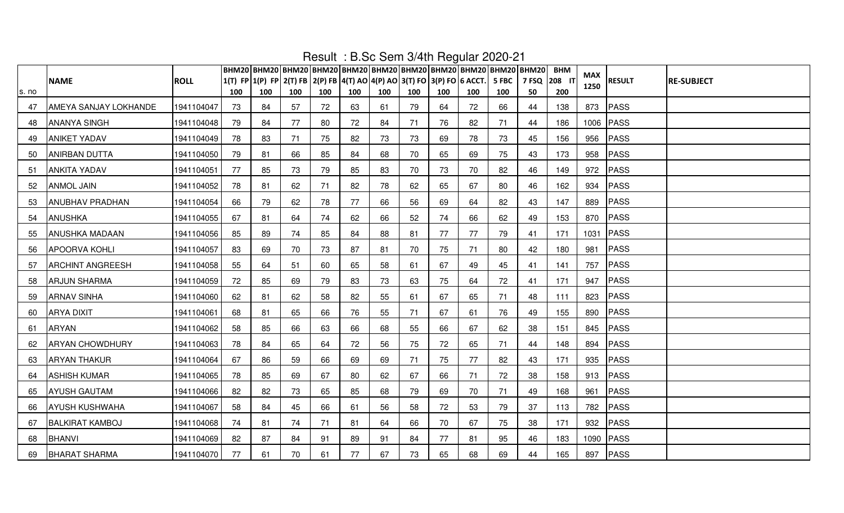|       |                         |             |     | ВНМ20   ВНМ20   ВНМ20   ВНМ20   ВНМ20   ВНМ20   ВНМ20   ВНМ20   ВНМ20   ВНМ20   ВНМ20 |     |     | $1.00011 - 1.01000001110111110000101000101$ |     |     |     |     |     |                    | <b>BHM</b> | MAX  |               |                   |
|-------|-------------------------|-------------|-----|---------------------------------------------------------------------------------------|-----|-----|---------------------------------------------|-----|-----|-----|-----|-----|--------------------|------------|------|---------------|-------------------|
| s. no | <b>NAME</b>             | <b>ROLL</b> | 100 | 1(T) FP 1(P) FP 2(T) FB 2(P) FB 4(T) AO 4(P) AO 3(T) FO 3(P) FO 6 ACCT. 5 FBC<br>100  | 100 | 100 | 100                                         | 100 | 100 | 100 | 100 | 100 | דו 208 P FSQ<br>50 | 200        | 1250 | <b>RESULT</b> | <b>RE-SUBJECT</b> |
| 47    | AMEYA SANJAY LOKHANDE   | 1941104047  | 73  | 84                                                                                    | 57  | 72  | 63                                          | 61  | 79  | 64  | 72  | 66  | 44                 | 138        |      | 873 PASS      |                   |
| 48    | <b>ANANYA SINGH</b>     | 1941104048  | 79  | 84                                                                                    | 77  | 80  | 72                                          | 84  | 71  | 76  | 82  | 71  | 44                 | 186        |      | 1006 PASS     |                   |
| 49    | <b>ANIKET YADAV</b>     | 1941104049  | 78  | 83                                                                                    | 71  | 75  | 82                                          | 73  | 73  | 69  | 78  | 73  | 45                 | 156        | 956  | PASS          |                   |
| 50    | <b>ANIRBAN DUTTA</b>    | 1941104050  | 79  | 81                                                                                    | 66  | 85  | 84                                          | 68  | 70  | 65  | 69  | 75  | 43                 | 173        |      | 958 PASS      |                   |
| 51    | <b>ANKITA YADAV</b>     | 1941104051  | 77  | 85                                                                                    | 73  | 79  | 85                                          | 83  | 70  | 73  | 70  | 82  | 46                 | 149        |      | 972 PASS      |                   |
| 52    | <b>ANMOL JAIN</b>       | 1941104052  | 78  | 81                                                                                    | 62  | 71  | 82                                          | 78  | 62  | 65  | 67  | 80  | 46                 | 162        | 934  | PASS          |                   |
| 53    | <b>ANUBHAV PRADHAN</b>  | 1941104054  | 66  | 79                                                                                    | 62  | 78  | 77                                          | 66  | 56  | 69  | 64  | 82  | 43                 | 147        | 889  | PASS          |                   |
| 54    | <b>ANUSHKA</b>          | 1941104055  | 67  | 81                                                                                    | 64  | 74  | 62                                          | 66  | 52  | 74  | 66  | 62  | 49                 | 153        |      | 870 PASS      |                   |
| 55    | <b>ANUSHKA MADAAN</b>   | 1941104056  | 85  | 89                                                                                    | 74  | 85  | 84                                          | 88  | 81  | 77  | 77  | 79  | 41                 | 171        |      | 1031 PASS     |                   |
| 56    | <b>APOORVA KOHLI</b>    | 1941104057  | 83  | 69                                                                                    | 70  | 73  | 87                                          | 81  | 70  | 75  | 71  | 80  | 42                 | 180        | 981  | PASS          |                   |
| 57    | <b>ARCHINT ANGREESH</b> | 1941104058  | 55  | 64                                                                                    | 51  | 60  | 65                                          | 58  | 61  | 67  | 49  | 45  | 41                 | 141        | 757  | PASS          |                   |
| 58    | <b>ARJUN SHARMA</b>     | 1941104059  | 72  | 85                                                                                    | 69  | 79  | 83                                          | 73  | 63  | 75  | 64  | 72  | 41                 | 171        |      | 947 PASS      |                   |
| 59    | <b>ARNAV SINHA</b>      | 1941104060  | 62  | 81                                                                                    | 62  | 58  | 82                                          | 55  | 61  | 67  | 65  | 71  | 48                 | 111        |      | 823 PASS      |                   |
| 60    | <b>ARYA DIXIT</b>       | 1941104061  | 68  | 81                                                                                    | 65  | 66  | 76                                          | 55  | 71  | 67  | 61  | 76  | 49                 | 155        |      | 890 PASS      |                   |
| 61    | <b>ARYAN</b>            | 1941104062  | 58  | 85                                                                                    | 66  | 63  | 66                                          | 68  | 55  | 66  | 67  | 62  | 38                 | 151        |      | 845 PASS      |                   |
| 62    | <b>ARYAN CHOWDHURY</b>  | 1941104063  | 78  | 84                                                                                    | 65  | 64  | 72                                          | 56  | 75  | 72  | 65  | 71  | 44                 | 148        |      | 894 PASS      |                   |
| 63    | <b>ARYAN THAKUR</b>     | 1941104064  | 67  | 86                                                                                    | 59  | 66  | 69                                          | 69  | 71  | 75  | 77  | 82  | 43                 | 171        |      | 935 PASS      |                   |
| 64    | <b>ASHISH KUMAR</b>     | 1941104065  | 78  | 85                                                                                    | 69  | 67  | 80                                          | 62  | 67  | 66  | 71  | 72  | 38                 | 158        |      | 913 PASS      |                   |
| 65    | <b>AYUSH GAUTAM</b>     | 1941104066  | 82  | 82                                                                                    | 73  | 65  | 85                                          | 68  | 79  | 69  | 70  | 71  | 49                 | 168        | 961  | PASS          |                   |
| 66    | <b>AYUSH KUSHWAHA</b>   | 1941104067  | 58  | 84                                                                                    | 45  | 66  | 61                                          | 56  | 58  | 72  | 53  | 79  | 37                 | 113        | 782  | PASS          |                   |
| 67    | <b>BALKIRAT KAMBOJ</b>  | 1941104068  | 74  | 81                                                                                    | 74  | 71  | 81                                          | 64  | 66  | 70  | 67  | 75  | 38                 | 171        |      | 932 PASS      |                   |
| 68    | <b>BHANVI</b>           | 1941104069  | 82  | 87                                                                                    | 84  | 91  | 89                                          | 91  | 84  | 77  | 81  | 95  | 46                 | 183        |      | 1090 PASS     |                   |
| 69    | <b>BHARAT SHARMA</b>    | 1941104070  | 77  | 61                                                                                    | 70  | 61  | 77                                          | 67  | 73  | 65  | 68  | 69  | 44                 | 165        |      | 897   PASS    |                   |

Result : B.Sc Sem 3/4th Regular 2020-21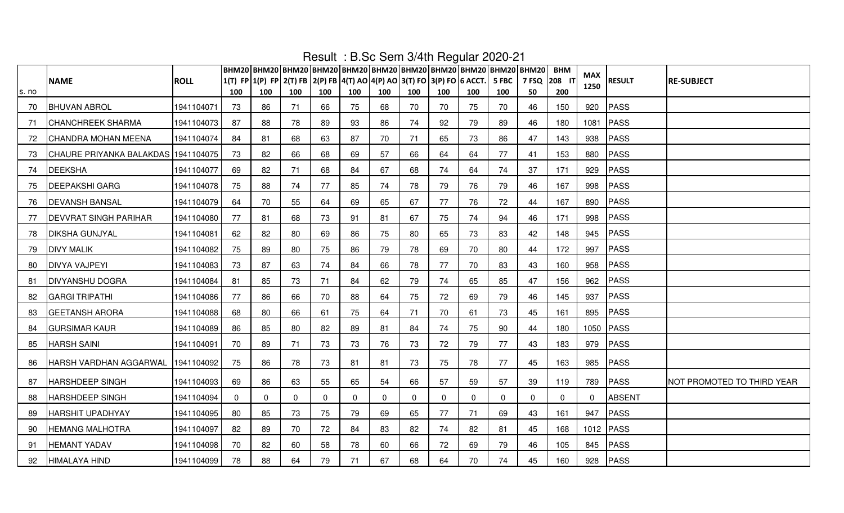|       |                                       |             |          | ВНМ20 ВНМ20 ВНМ20 ВНМ20 ВНМ20 ВНМ20 ВНМ20 ВНМ20 ВНМ20 ВНМ20 ВНМ20       |             |              |              |          |             | $\frac{1}{2}$ = $\frac{1}{2}$ = $\frac{1}{2}$ = $\frac{1}{2}$ = $\frac{1}{2}$ = $\frac{1}{2}$ = $\frac{1}{2}$ = $\frac{1}{2}$ = $\frac{1}{2}$ = $\frac{1}{2}$ |     |       |              | <b>BHM</b>  |                    |               |                                   |
|-------|---------------------------------------|-------------|----------|-------------------------------------------------------------------------|-------------|--------------|--------------|----------|-------------|---------------------------------------------------------------------------------------------------------------------------------------------------------------|-----|-------|--------------|-------------|--------------------|---------------|-----------------------------------|
|       | <b>NAME</b>                           | <b>ROLL</b> |          | 1(T) FP 1(P) FP 2(T) FB 2(P) FB 4(T) AO 4(P) AO 3(T) FO 3(P) FO 6 ACCT. |             |              |              |          |             |                                                                                                                                                               |     | 5 FBC | 7 FSQ 208 F  |             | <b>MAX</b><br>1250 | <b>RESULT</b> | <b>RE-SUBJECT</b>                 |
| s. no |                                       |             | 100      | 100                                                                     | 100         | 100          | 100          | 100      | 100         | 100                                                                                                                                                           | 100 | 100   | 50           | 200         |                    |               |                                   |
| 70    | <b>BHUVAN ABROL</b>                   | 1941104071  | 73       | 86                                                                      | 71          | 66           | 75           | 68       | 70          | 70                                                                                                                                                            | 75  | 70    | 46           | 150         | 920                | PASS          |                                   |
| 71    | <b>CHANCHREEK SHARMA</b>              | 1941104073  | 87       | 88                                                                      | 78          | 89           | 93           | 86       | 74          | 92                                                                                                                                                            | 79  | 89    | 46           | 180         | 1081               | PASS          |                                   |
| 72    | CHANDRA MOHAN MEENA                   | 1941104074  | 84       | 81                                                                      | 68          | 63           | 87           | 70       | 71          | 65                                                                                                                                                            | 73  | 86    | 47           | 143         | 938                | PASS          |                                   |
| 73    | CHAURE PRIYANKA BALAKDAS   1941104075 |             | 73       | 82                                                                      | 66          | 68           | 69           | 57       | 66          | 64                                                                                                                                                            | 64  | 77    | 41           | 153         | 880                | PASS          |                                   |
| 74    | <b>DEEKSHA</b>                        | 1941104077  | 69       | 82                                                                      | 71          | 68           | 84           | 67       | 68          | 74                                                                                                                                                            | 64  | 74    | 37           | 171         | 929                | PASS          |                                   |
| 75    | <b>DEEPAKSHI GARG</b>                 | 1941104078  | 75       | 88                                                                      | 74          | 77           | 85           | 74       | 78          | 79                                                                                                                                                            | 76  | 79    | 46           | 167         | 998                | PASS          |                                   |
| 76    | <b>DEVANSH BANSAL</b>                 | 1941104079  | 64       | 70                                                                      | 55          | 64           | 69           | 65       | 67          | 77                                                                                                                                                            | 76  | 72    | 44           | 167         | 890                | PASS          |                                   |
| 77    | <b>DEVVRAT SINGH PARIHAR</b>          | 1941104080  | 77       | 81                                                                      | 68          | 73           | 91           | 81       | 67          | 75                                                                                                                                                            | 74  | 94    | 46           | 171         | 998                | PASS          |                                   |
| 78    | <b>DIKSHA GUNJYAL</b>                 | 1941104081  | 62       | 82                                                                      | 80          | 69           | 86           | 75       | 80          | 65                                                                                                                                                            | 73  | 83    | 42           | 148         | 945                | PASS          |                                   |
| 79    | <b>DIVY MALIK</b>                     | 1941104082  | 75       | 89                                                                      | 80          | 75           | 86           | 79       | 78          | 69                                                                                                                                                            | 70  | 80    | 44           | 172         | 997                | PASS          |                                   |
| 80    | <b>DIVYA VAJPEYI</b>                  | 1941104083  | 73       | 87                                                                      | 63          | 74           | 84           | 66       | 78          | 77                                                                                                                                                            | 70  | 83    | 43           | 160         | 958                | PASS          |                                   |
| 81    | <b>DIVYANSHU DOGRA</b>                | 1941104084  | 81       | 85                                                                      | 73          | 71           | 84           | 62       | 79          | 74                                                                                                                                                            | 65  | 85    | 47           | 156         | 962                | PASS          |                                   |
| 82    | <b>GARGI TRIPATHI</b>                 | 1941104086  | 77       | 86                                                                      | 66          | 70           | 88           | 64       | 75          | 72                                                                                                                                                            | 69  | 79    | 46           | 145         | 937                | PASS          |                                   |
| 83    | <b>GEETANSH ARORA</b>                 | 1941104088  | 68       | 80                                                                      | 66          | 61           | 75           | 64       | 71          | 70                                                                                                                                                            | 61  | 73    | 45           | 161         | 895                | PASS          |                                   |
| 84    | <b>GURSIMAR KAUR</b>                  | 1941104089  | 86       | 85                                                                      | 80          | 82           | 89           | 81       | 84          | 74                                                                                                                                                            | 75  | 90    | 44           | 180         |                    | 1050 PASS     |                                   |
| 85    | <b>HARSH SAINI</b>                    | 1941104091  | 70       | 89                                                                      | 71          | 73           | 73           | 76       | 73          | 72                                                                                                                                                            | 79  | 77    | 43           | 183         | 979                | PASS          |                                   |
| 86    | HARSH VARDHAN AGGARWAL                | 1941104092  | 75       | 86                                                                      | 78          | 73           | 81           | 81       | 73          | 75                                                                                                                                                            | 78  | 77    | 45           | 163         | 985                | PASS          |                                   |
| 87    | <b>HARSHDEEP SINGH</b>                | 1941104093  | 69       | 86                                                                      | 63          | 55           | 65           | 54       | 66          | 57                                                                                                                                                            | 59  | 57    | 39           | 119         | 789                | PASS          | <b>NOT PROMOTED TO THIRD YEAR</b> |
| 88    | <b>HARSHDEEP SINGH</b>                | 1941104094  | $\Omega$ | $\mathbf 0$                                                             | $\mathbf 0$ | $\mathbf{0}$ | $\mathbf{0}$ | $\Omega$ | $\mathbf 0$ | $\mathbf 0$                                                                                                                                                   | 0   | 0     | $\mathbf{0}$ | $\mathbf 0$ | $\mathbf 0$        | ABSENT        |                                   |
| 89    | <b>HARSHIT UPADHYAY</b>               | 1941104095  | 80       | 85                                                                      | 73          | 75           | 79           | 69       | 65          | 77                                                                                                                                                            | 71  | 69    | 43           | 161         | 947                | PASS          |                                   |
| 90    | <b>HEMANG MALHOTRA</b>                | 1941104097  | 82       | 89                                                                      | 70          | 72           | 84           | 83       | 82          | 74                                                                                                                                                            | 82  | 81    | 45           | 168         |                    | 1012 PASS     |                                   |
| -91   | <b>HEMANT YADAV</b>                   | 1941104098  | 70       | 82                                                                      | 60          | 58           | 78           | 60       | 66          | 72                                                                                                                                                            | 69  | 79    | 46           | 105         | 845                | PASS          |                                   |
| 92    | <b>HIMALAYA HIND</b>                  | 1941104099  | 78       | 88                                                                      | 64          | 79           | 71           | 67       | 68          | 64                                                                                                                                                            | 70  | 74    | 45           | 160         |                    | 928 PASS      |                                   |

Result : B.Sc Sem 3/4th Regular 2020-21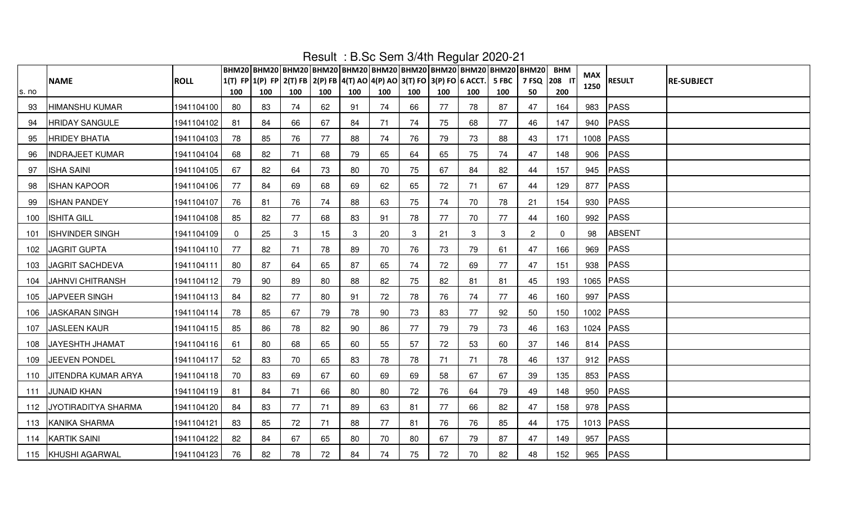|       |                            |             |     |     |     |     |     |     |     |     |                                                                         |       | ВНМ20 ВНМ20 ВНМ20 ВНМ20 ВНМ20 ВНМ20 ВНМ20 ВНМ20 ВНМ20 ВНМ20 ВНМ20 | <b>BHM</b>  |             |               |                   |
|-------|----------------------------|-------------|-----|-----|-----|-----|-----|-----|-----|-----|-------------------------------------------------------------------------|-------|-------------------------------------------------------------------|-------------|-------------|---------------|-------------------|
|       | <b>NAME</b>                | <b>ROLL</b> |     |     |     |     |     |     |     |     | 1(T) FP 1(P) FP 2(T) FB 2(P) FB 4(T) AO 4(P) AO 3(T) FO 3(P) FO 6 ACCT. | 5 FBC | 7 FSQ 208 1                                                       |             | MAX<br>1250 | <b>RESULT</b> | <b>RE-SUBJECT</b> |
| s. no |                            |             | 100 | 100 | 100 | 100 | 100 | 100 | 100 | 100 | 100                                                                     | 100   | 50                                                                | 200         |             |               |                   |
| 93    | <b>HIMANSHU KUMAR</b>      | 1941104100  | 80  | 83  | 74  | 62  | 91  | 74  | 66  | 77  | 78                                                                      | 87    | 47                                                                | 164         | 983         | PASS          |                   |
| 94    | <b>HRIDAY SANGULE</b>      | 1941104102  | 81  | 84  | 66  | 67  | 84  | 71  | 74  | 75  | 68                                                                      | 77    | 46                                                                | 147         | 940         | PASS          |                   |
| 95    | <b>HRIDEY BHATIA</b>       | 1941104103  | 78  | 85  | 76  | 77  | 88  | 74  | 76  | 79  | 73                                                                      | 88    | 43                                                                | 171         |             | 1008 PASS     |                   |
| 96    | <b>INDRAJEET KUMAR</b>     | 1941104104  | 68  | 82  | 71  | 68  | 79  | 65  | 64  | 65  | 75                                                                      | 74    | 47                                                                | 148         |             | 906 PASS      |                   |
| 97    | <b>ISHA SAINI</b>          | 1941104105  | 67  | 82  | 64  | 73  | 80  | 70  | 75  | 67  | 84                                                                      | 82    | 44                                                                | 157         |             | 945 PASS      |                   |
| 98    | <b>ISHAN KAPOOR</b>        | 1941104106  | 77  | 84  | 69  | 68  | 69  | 62  | 65  | 72  | 71                                                                      | 67    | 44                                                                | 129         | 877         | PASS          |                   |
| 99    | <b>ISHAN PANDEY</b>        | 1941104107  | 76  | 81  | 76  | 74  | 88  | 63  | 75  | 74  | 70                                                                      | 78    | 21                                                                | 154         | 930         | PASS          |                   |
| 100   | <b>ISHITA GILL</b>         | 1941104108  | 85  | 82  | 77  | 68  | 83  | 91  | 78  | 77  | 70                                                                      | 77    | 44                                                                | 160         | 992         | <b>PASS</b>   |                   |
| 101   | <b>ISHVINDER SINGH</b>     | 1941104109  |     | 25  | 3   | 15  | 3   | 20  | 3   | 21  | 3                                                                       | 3     | 2                                                                 | $\mathbf 0$ | 98          | <b>ABSENT</b> |                   |
| 102   | <b>JAGRIT GUPTA</b>        | 1941104110  | 77  | 82  | 71  | 78  | 89  | 70  | 76  | 73  | 79                                                                      | 61    | 47                                                                | 166         | 969         | PASS          |                   |
| 103   | <b>JAGRIT SACHDEVA</b>     | 1941104111  | 80  | 87  | 64  | 65  | 87  | 65  | 74  | 72  | 69                                                                      | 77    | 47                                                                | 151         | 938         | PASS          |                   |
| 104   | <b>JAHNVI CHITRANSH</b>    | 1941104112  | 79  | 90  | 89  | 80  | 88  | 82  | 75  | 82  | 81                                                                      | 81    | 45                                                                | 193         |             | 1065 PASS     |                   |
| 105   | JAPVEER SINGH              | 1941104113  | 84  | 82  | 77  | 80  | 91  | 72  | 78  | 76  | 74                                                                      | 77    | 46                                                                | 160         |             | 997   PASS    |                   |
| 106   | <b>JASKARAN SINGH</b>      | 1941104114  | 78  | 85  | 67  | 79  | 78  | 90  | 73  | 83  | 77                                                                      | 92    | 50                                                                | 150         |             | 1002 PASS     |                   |
| 107   | <b>JASLEEN KAUR</b>        | 1941104115  | 85  | 86  | 78  | 82  | 90  | 86  | 77  | 79  | 79                                                                      | 73    | 46                                                                | 163         |             | 1024 PASS     |                   |
| 108   | JAYESHTH JHAMAT            | 1941104116  | 61  | 80  | 68  | 65  | 60  | 55  | 57  | 72  | 53                                                                      | 60    | 37                                                                | 146         |             | 814 PASS      |                   |
| 109   | JEEVEN PONDEL              | 1941104117  | 52  | 83  | 70  | 65  | 83  | 78  | 78  | 71  | 71                                                                      | 78    | 46                                                                | 137         |             | 912 PASS      |                   |
| 110   | <b>JITENDRA KUMAR ARYA</b> | 1941104118  | 70  | 83  | 69  | 67  | 60  | 69  | 69  | 58  | 67                                                                      | 67    | 39                                                                | 135         |             | 853 PASS      |                   |
| 111   | <b>JUNAID KHAN</b>         | 1941104119  | 81  | 84  | 71  | 66  | 80  | 80  | 72  | 76  | 64                                                                      | 79    | 49                                                                | 148         |             | 950 PASS      |                   |
| 112   | JYOTIRADITYA SHARMA        | 1941104120  | 84  | 83  | 77  | 71  | 89  | 63  | 81  | 77  | 66                                                                      | 82    | 47                                                                | 158         |             | 978 PASS      |                   |
| 113   | <b>KANIKA SHARMA</b>       | 1941104121  | 83  | 85  | 72  | 71  | 88  | 77  | 81  | 76  | 76                                                                      | 85    | 44                                                                | 175         |             | 1013 PASS     |                   |
| 114   | <b>KARTIK SAINI</b>        | 1941104122  | 82  | 84  | 67  | 65  | 80  | 70  | 80  | 67  | 79                                                                      | 87    | 47                                                                | 149         | 957         | PASS          |                   |
|       | 115 KHUSHI AGARWAL         | 1941104123  | 76  | 82  | 78  | 72  | 84  | 74  | 75  | 72  | 70                                                                      | 82    | 48                                                                | 152         |             | 965 PASS      |                   |

Result : B.Sc Sem 3/4th Regular 2020-21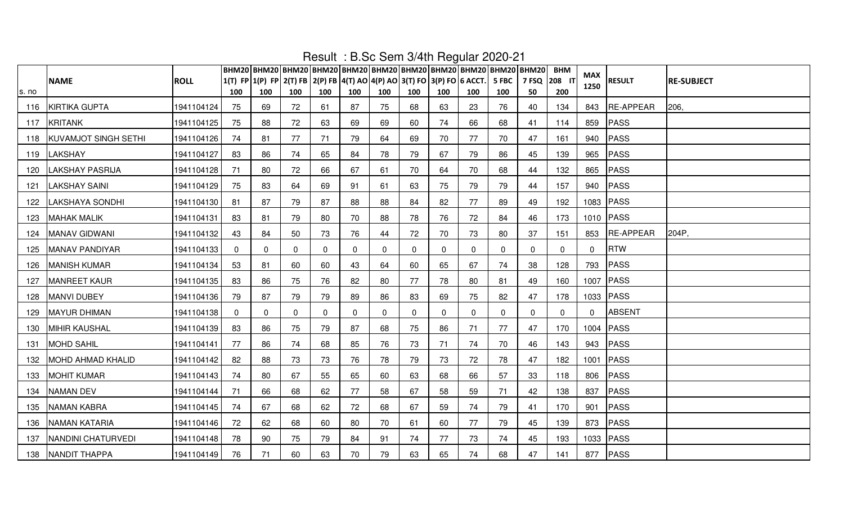|       |                             |             |     |     |             |     |              |     |             |             | ВНМ20 ВНМ20 ВНМ20 ВНМ20 ВНМ20 ВНМ20 ВНМ20 ВНМ20 ВНМ20 ВНМ20 ВНМ20                                  |          |             | <b>BHM</b>  |              |                  |                   |
|-------|-----------------------------|-------------|-----|-----|-------------|-----|--------------|-----|-------------|-------------|----------------------------------------------------------------------------------------------------|----------|-------------|-------------|--------------|------------------|-------------------|
|       | <b>NAME</b>                 | <b>ROLL</b> |     |     |             |     |              |     |             |             | $ 1(T)$ FP $ 1(P)$ FP $ 2(T)$ FB $ 2(P)$ FB $ 4(T)$ AO $ 4(P)$ AO $ 3(T)$ FO $ 3(P)$ FO $ 6$ ACCT. | 5 FBC    | 7 FSQ 208 F |             | <b>MAX</b>   | <b>RESULT</b>    | <b>RE-SUBJECT</b> |
| s. no |                             |             | 100 | 100 | 100         | 100 | 100          | 100 | 100         | 100         | 100                                                                                                | 100      | 50          | 200         | 1250         |                  |                   |
| 116   | KIRTIKA GUPTA               | 1941104124  | 75  | 69  | 72          | 61  | 87           | 75  | 68          | 63          | 23                                                                                                 | 76       | 40          | 134         |              | 843 RE-APPEAR    | 206,              |
| 117   | <b>KRITANK</b>              | 1941104125  | 75  | 88  | 72          | 63  | 69           | 69  | 60          | 74          | 66                                                                                                 | 68       | 41          | 114         | 859          | PASS             |                   |
| 118   | <b>KUVAMJOT SINGH SETHI</b> | 1941104126  | 74  | 81  | 77          | 71  | 79           | 64  | 69          | 70          | 77                                                                                                 | 70       | 47          | 161         | 940          | PASS             |                   |
| 119   | <b>LAKSHAY</b>              | 1941104127  | 83  | 86  | 74          | 65  | 84           | 78  | 79          | 67          | 79                                                                                                 | 86       | 45          | 139         |              | 965 PASS         |                   |
| 120   | <b>LAKSHAY PASRIJA</b>      | 1941104128  | -71 | 80  | 72          | 66  | 67           | -61 | 70          | 64          | 70                                                                                                 | 68       | 44          | 132         | 865          | PASS             |                   |
| 121   | <b>LAKSHAY SAINI</b>        | 1941104129  | 75  | 83  | 64          | 69  | 91           | 61  | 63          | 75          | 79                                                                                                 | 79       | 44          | 157         |              | 940 PASS         |                   |
| 122   | <b>LAKSHAYA SONDHI</b>      | 1941104130  | 81  | 87  | 79          | 87  | 88           | 88  | 84          | 82          | 77                                                                                                 | 89       | 49          | 192         |              | 1083 PASS        |                   |
| 123   | <b>MAHAK MALIK</b>          | 1941104131  | 83  | 81  | 79          | 80  | 70           | 88  | 78          | 76          | 72                                                                                                 | 84       | 46          | 173         |              | 1010 PASS        |                   |
| 124   | <b>MANAV GIDWANI</b>        | 1941104132  | 43  | 84  | 50          | 73  | 76           | 44  | 72          | 70          | 73                                                                                                 | 80       | 37          | 151         | 853          | <b>RE-APPEAR</b> | 204P,             |
| 125   | <b>MANAV PANDIYAR</b>       | 1941104133  | 0   | 0   | $\mathbf 0$ | 0   | 0            | 0   | $\mathbf 0$ | $\mathbf 0$ | 0                                                                                                  | 0        | 0           | 0           | $\mathbf 0$  | <b>RTW</b>       |                   |
| 126   | <b>MANISH KUMAR</b>         | 1941104134  | 53  | 81  | 60          | 60  | 43           | 64  | 60          | 65          | 67                                                                                                 | 74       | 38          | 128         | 793          | PASS             |                   |
| 127   | <b>MANREET KAUR</b>         | 1941104135  | 83  | 86  | 75          | 76  | 82           | 80  | 77          | 78          | 80                                                                                                 | 81       | 49          | 160         |              | 1007 PASS        |                   |
| 128   | MANVI DUBEY                 | 1941104136  | 79  | 87  | 79          | 79  | 89           | 86  | 83          | 69          | 75                                                                                                 | 82       | 47          | 178         |              | 1033 PASS        |                   |
| 129   | <b>MAYUR DHIMAN</b>         | 1941104138  |     | 0   | $\mathbf 0$ | 0   | $\mathbf{0}$ | 0   | $\mathbf 0$ | $\mathbf 0$ | $\Omega$                                                                                           | $\Omega$ | $\Omega$    | $\mathbf 0$ | $\mathbf{0}$ | <b>ABSENT</b>    |                   |
| 130   | <b>MIHIR KAUSHAL</b>        | 1941104139  | 83  | 86  | 75          | 79  | 87           | 68  | 75          | 86          | 71                                                                                                 | 77       | 47          | 170         |              | 1004 PASS        |                   |
| 131   | <b>MOHD SAHIL</b>           | 1941104141  | 77  | 86  | 74          | 68  | 85           | 76  | 73          | 71          | 74                                                                                                 | 70       | 46          | 143         |              | 943   PASS       |                   |
| 132   | <b>MOHD AHMAD KHALID</b>    | 1941104142  | 82  | 88  | 73          | 73  | 76           | 78  | 79          | 73          | 72                                                                                                 | 78       | 47          | 182         |              | 1001 PASS        |                   |
| 133   | <b>MOHIT KUMAR</b>          | 1941104143  | 74  | 80  | 67          | 55  | 65           | 60  | 63          | 68          | 66                                                                                                 | 57       | 33          | 118         |              | 806 PASS         |                   |
| 134   | <b>NAMAN DEV</b>            | 1941104144  | 71  | 66  | 68          | 62  | 77           | 58  | 67          | 58          | 59                                                                                                 | 71       | 42          | 138         | 837          | PASS             |                   |
| 135   | <b>NAMAN KABRA</b>          | 1941104145  | 74  | 67  | 68          | 62  | 72           | 68  | 67          | 59          | 74                                                                                                 | 79       | 41          | 170         | 901          | <b>PASS</b>      |                   |
| 136   | <b>NAMAN KATARIA</b>        | 1941104146  | 72  | 62  | 68          | 60  | 80           | 70  | 61          | 60          | 77                                                                                                 | 79       | 45          | 139         | 873          | PASS             |                   |
| 137   | <b>NANDINI CHATURVEDI</b>   | 1941104148  | 78  | 90  | 75          | 79  | 84           | 91  | 74          | 77          | 73                                                                                                 | 74       | 45          | 193         |              | 1033   PASS      |                   |
| 138   | NANDIT THAPPA               | 1941104149  | 76  | 71  | 60          | 63  | 70           | 79  | 63          | 65          | 74                                                                                                 | 68       | 47          | 141         |              | 877 PASS         |                   |

Result : B.Sc Sem 3/4th Regular 2020-21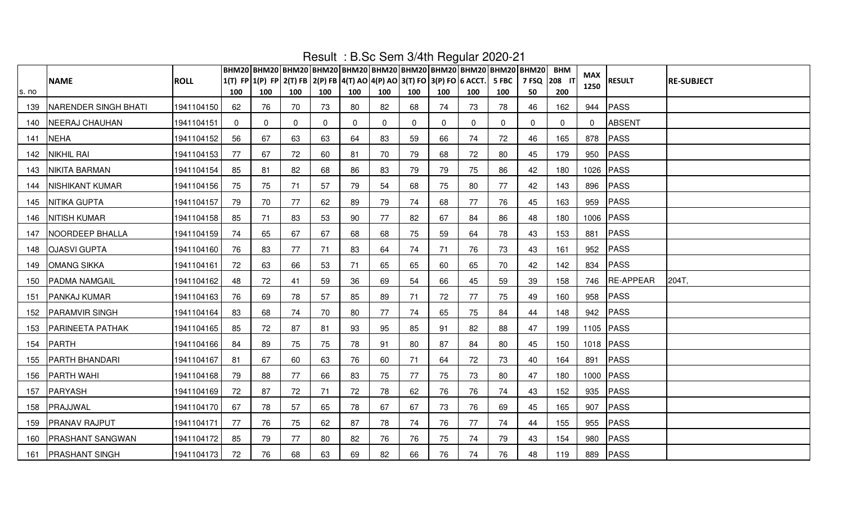|       |                         |             |              |                                                                         |          |          |     |              |              |              |              |          | ВНМ20 ВНМ20 ВНМ20 ВНМ20 ВНМ20 ВНМ20 ВНМ20 ВНМ20 ВНМ20 ВНМ20 ВНМ20 | <b>BHM</b>   |             |               |                   |
|-------|-------------------------|-------------|--------------|-------------------------------------------------------------------------|----------|----------|-----|--------------|--------------|--------------|--------------|----------|-------------------------------------------------------------------|--------------|-------------|---------------|-------------------|
|       | <b>NAME</b>             | <b>ROLL</b> |              | 1(T) FP 1(P) FP 2(T) FB 2(P) FB 4(T) AO 4(P) AO 3(T) FO 3(P) FO 6 ACCT. |          |          |     |              |              |              |              | 5 FBC    | 7 FSQ 208 IT                                                      |              | MAX<br>1250 | <b>RESULT</b> | <b>RE-SUBJECT</b> |
| s. no |                         |             | 100          | 100                                                                     | 100      | 100      | 100 | 100          | 100          | 100          | 100          | 100      | 50                                                                | 200          |             |               |                   |
| 139   | NARENDER SINGH BHATI    | 1941104150  | 62           | 76                                                                      | 70       | 73       | 80  | 82           | 68           | 74           | 73           | 78       | 46                                                                | 162          | 944         | PASS          |                   |
| 140   | <b>NEERAJ CHAUHAN</b>   | 1941104151  | $\mathbf{0}$ | $\mathbf{0}$                                                            | $\Omega$ | $\Omega$ | 0   | $\mathbf{0}$ | $\mathbf{0}$ | $\mathbf{0}$ | $\mathbf{0}$ | $\Omega$ | $\Omega$                                                          | $\mathbf{0}$ | $\Omega$    | <b>ABSENT</b> |                   |
| 141   | <b>NEHA</b>             | 1941104152  | 56           | 67                                                                      | 63       | 63       | 64  | 83           | 59           | 66           | 74           | 72       | 46                                                                | 165          |             | 878 PASS      |                   |
| 142   | <b>NIKHIL RAI</b>       | 1941104153  | 77           | 67                                                                      | 72       | 60       | 81  | 70           | 79           | 68           | 72           | 80       | 45                                                                | 179          |             | 950 PASS      |                   |
| 143   | <b>NIKITA BARMAN</b>    | 1941104154  | 85           | 81                                                                      | 82       | 68       | 86  | 83           | 79           | 79           | 75           | 86       | 42                                                                | 180          |             | 1026 PASS     |                   |
| 144   | <b>NISHIKANT KUMAR</b>  | 1941104156  | 75           | 75                                                                      | 71       | 57       | 79  | 54           | 68           | 75           | 80           | 77       | 42                                                                | 143          |             | 896   PASS    |                   |
| 145   | <b>NITIKA GUPTA</b>     | 1941104157  | 79           | 70                                                                      | 77       | 62       | 89  | 79           | 74           | 68           | 77           | 76       | 45                                                                | 163          |             | 959   PASS    |                   |
| 146   | <b>NITISH KUMAR</b>     | 1941104158  | 85           | 71                                                                      | 83       | 53       | 90  | 77           | 82           | 67           | 84           | 86       | 48                                                                | 180          |             | 1006 PASS     |                   |
| 147   | NOORDEEP BHALLA         | 1941104159  | 74           | 65                                                                      | 67       | 67       | 68  | 68           | 75           | 59           | 64           | 78       | 43                                                                | 153          | 881         | PASS          |                   |
| 148   | <b>OJASVI GUPTA</b>     | 1941104160  | 76           | 83                                                                      | 77       | 71       | 83  | 64           | 74           | 71           | 76           | 73       | 43                                                                | 161          |             | 952 PASS      |                   |
| 149   | <b>OMANG SIKKA</b>      | 1941104161  | 72           | 63                                                                      | 66       | 53       | 71  | 65           | 65           | 60           | 65           | 70       | 42                                                                | 142          |             | 834 PASS      |                   |
| 150   | <b>PADMA NAMGAIL</b>    | 1941104162  | 48           | 72                                                                      | 41       | 59       | 36  | 69           | 54           | 66           | 45           | 59       | 39                                                                | 158          |             | 746 RE-APPEAR | 204T,             |
| 151   | <b>PANKAJ KUMAR</b>     | 1941104163  | 76           | 69                                                                      | 78       | 57       | 85  | 89           | 71           | 72           | 77           | 75       | 49                                                                | 160          |             | 958   PASS    |                   |
| 152   | <b>PARAMVIR SINGH</b>   | 1941104164  | 83           | 68                                                                      | 74       | 70       | 80  | 77           | 74           | 65           | 75           | 84       | 44                                                                | 148          |             | 942 PASS      |                   |
| 153   | <b>PARINEETA PATHAK</b> | 1941104165  | 85           | 72                                                                      | 87       | 81       | 93  | 95           | 85           | 91           | 82           | 88       | 47                                                                | 199          |             | 1105 PASS     |                   |
| 154   | PARTH                   | 1941104166  | 84           | 89                                                                      | 75       | 75       | 78  | 91           | 80           | 87           | 84           | 80       | 45                                                                | 150          |             | 1018 PASS     |                   |
| 155   | <b>PARTH BHANDARI</b>   | 1941104167  | 81           | 67                                                                      | 60       | 63       | 76  | 60           | 71           | 64           | 72           | 73       | 40                                                                | 164          | 891         | PASS          |                   |
| 156   | <b>PARTH WAHI</b>       | 1941104168  | 79           | 88                                                                      | 77       | 66       | 83  | 75           | 77           | 75           | 73           | 80       | 47                                                                | 180          |             | 1000 PASS     |                   |
| 157   | PARYASH                 | 1941104169  | 72           | 87                                                                      | 72       | 71       | 72  | 78           | 62           | 76           | 76           | 74       | 43                                                                | 152          |             | 935 PASS      |                   |
| 158   | PRAJJWAL                | 1941104170  | 67           | 78                                                                      | 57       | 65       | 78  | 67           | 67           | 73           | 76           | 69       | 45                                                                | 165          | 907         | <b>PASS</b>   |                   |
| 159   | <b>PRANAV RAJPUT</b>    | 1941104171  | 77           | 76                                                                      | 75       | 62       | 87  | 78           | 74           | 76           | 77           | 74       | 44                                                                | 155          |             | 955 PASS      |                   |
| 160   | <b>PRASHANT SANGWAN</b> | 1941104172  | 85           | 79                                                                      | 77       | 80       | 82  | 76           | 76           | 75           | 74           | 79       | 43                                                                | 154          |             | 980 PASS      |                   |
|       | 161   PRASHANT SINGH    | 1941104173  | 72           | 76                                                                      | 68       | 63       | 69  | 82           | 66           | 76           | 74           | 76       | 48                                                                | 119          |             | 889 PASS      |                   |

Result : B.Sc Sem 3/4th Regular 2020-21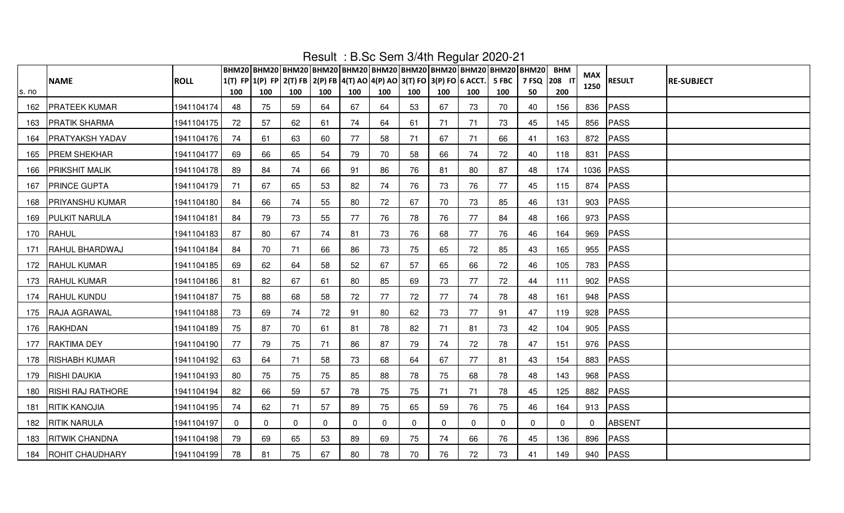|       |                          |             |          | ВНМ20   ВНМ20   ВНМ20   ВНМ20   ВНМ20   ВНМ20   ВНМ20   ВНМ20   ВНМ20   ВНМ20   ВНМ20  <br>1(T) FP 1(P) FP 2(T) FB 2(P) FB 4(T) AO 4(P) AO 3(T) FO 3(P) FO 6 ACCT. |              | $1.00011 - 1.0100$ 00111 07 1011 1090101 20 |          |          |              |             |          | 5 FBC    | 7 FSQ 208 IT | <b>BHM</b> | MAX      |               |                   |
|-------|--------------------------|-------------|----------|--------------------------------------------------------------------------------------------------------------------------------------------------------------------|--------------|---------------------------------------------|----------|----------|--------------|-------------|----------|----------|--------------|------------|----------|---------------|-------------------|
| s. no | <b>NAME</b>              | <b>ROLL</b> | 100      | 100                                                                                                                                                                | 100          | 100                                         | 100      | 100      | 100          | 100         | 100      | 100      | 50           | 200        | 1250     | <b>RESULT</b> | <b>RE-SUBJECT</b> |
| 162   | <b>PRATEEK KUMAR</b>     | 1941104174  | 48       | 75                                                                                                                                                                 | 59           | 64                                          | 67       | 64       | 53           | 67          | 73       | 70       | 40           | 156        | 836      | PASS          |                   |
| 163   | <b>PRATIK SHARMA</b>     | 1941104175  | 72       | 57                                                                                                                                                                 | 62           | 61                                          | 74       | 64       | 61           | 71          | 71       | 73       | 45           | 145        |          | 856 PASS      |                   |
| 164   | <b>PRATYAKSH YADAV</b>   | 1941104176  | 74       | 61                                                                                                                                                                 | 63           | 60                                          | 77       | 58       | 71           | 67          | 71       | 66       | 41           | 163        |          | 872 PASS      |                   |
| 165   | <b>PREM SHEKHAR</b>      | 1941104177  | 69       | 66                                                                                                                                                                 | 65           | 54                                          | 79       | 70       | 58           | 66          | 74       | 72       | 40           | 118        |          | 831 PASS      |                   |
| 166   | <b>PRIKSHIT MALIK</b>    | 1941104178  | 89       | 84                                                                                                                                                                 | 74           | 66                                          | 91       | 86       | 76           | 81          | 80       | 87       | 48           | 174        |          | 1036 PASS     |                   |
| 167   | <b>PRINCE GUPTA</b>      | 1941104179  | 71       | 67                                                                                                                                                                 | 65           | 53                                          | 82       | 74       | 76           | 73          | 76       | 77       | 45           | 115        |          | 874 PASS      |                   |
| 168   | <b>PRIYANSHU KUMAR</b>   | 1941104180  | 84       | 66                                                                                                                                                                 | 74           | 55                                          | 80       | 72       | 67           | 70          | 73       | 85       | 46           | 131        |          | 903 PASS      |                   |
| 169   | <b>PULKIT NARULA</b>     | 1941104181  | 84       | 79                                                                                                                                                                 | 73           | 55                                          | 77       | 76       | 78           | 76          | 77       | 84       | 48           | 166        |          | 973 PASS      |                   |
| 170   | RAHUL                    | 1941104183  | 87       | 80                                                                                                                                                                 | 67           | 74                                          | 81       | 73       | 76           | 68          | 77       | 76       | 46           | 164        |          | 969 PASS      |                   |
| 171   | RAHUL BHARDWAJ           | 1941104184  | 84       | 70                                                                                                                                                                 | 71           | 66                                          | 86       | 73       | 75           | 65          | 72       | 85       | 43           | 165        |          | 955 PASS      |                   |
| 172   | <b>RAHUL KUMAR</b>       | 1941104185  | 69       | 62                                                                                                                                                                 | 64           | 58                                          | 52       | 67       | 57           | 65          | 66       | 72       | 46           | 105        |          | 783 PASS      |                   |
| 173   | <b>RAHUL KUMAR</b>       | 1941104186  | 81       | 82                                                                                                                                                                 | 67           | 61                                          | 80       | 85       | 69           | 73          | 77       | 72       | 44           | 111        |          | 902 PASS      |                   |
| 174   | <b>RAHUL KUNDU</b>       | 1941104187  | 75       | 88                                                                                                                                                                 | 68           | 58                                          | 72       | 77       | 72           | 77          | 74       | 78       | 48           | 161        |          | 948 PASS      |                   |
| 175   | <b>RAJA AGRAWAL</b>      | 1941104188  | 73       | 69                                                                                                                                                                 | 74           | 72                                          | 91       | 80       | 62           | 73          | 77       | 91       | 47           | 119        |          | 928 PASS      |                   |
| 176   | RAKHDAN                  | 1941104189  | 75       | 87                                                                                                                                                                 | 70           | 61                                          | 81       | 78       | 82           | 71          | 81       | 73       | 42           | 104        |          | 905 PASS      |                   |
| 177   | <b>RAKTIMA DEY</b>       | 1941104190  | 77       | 79                                                                                                                                                                 | 75           | 71                                          | 86       | 87       | 79           | 74          | 72       | 78       | 47           | 151        |          | 976 PASS      |                   |
| 178   | <b>RISHABH KUMAR</b>     | 1941104192  | 63       | 64                                                                                                                                                                 | 71           | 58                                          | 73       | 68       | 64           | 67          | 77       | 81       | 43           | 154        |          | 883 PASS      |                   |
| 179   | <b>RISHI DAUKIA</b>      | 1941104193  | 80       | 75                                                                                                                                                                 | 75           | 75                                          | 85       | 88       | 78           | 75          | 68       | 78       | 48           | 143        |          | 968 PASS      |                   |
| 180   | <b>RISHI RAJ RATHORE</b> | 1941104194  | 82       | 66                                                                                                                                                                 | 59           | 57                                          | 78       | 75       | 75           | 71          | 71       | 78       | 45           | 125        |          | 882 PASS      |                   |
| 181   | <b>RITIK KANOJIA</b>     | 1941104195  | 74       | 62                                                                                                                                                                 | 71           | 57                                          | 89       | 75       | 65           | 59          | 76       | 75       | 46           | 164        |          | 913 PASS      |                   |
| 182   | <b>RITIK NARULA</b>      | 1941104197  | $\Omega$ | $\mathbf{0}$                                                                                                                                                       | $\mathbf{0}$ | 0                                           | $\Omega$ | $\Omega$ | $\mathbf{0}$ | $\mathbf 0$ | $\Omega$ | $\Omega$ | $\Omega$     | $\Omega$   | $\Omega$ | ABSENT        |                   |
| 183   | <b>RITWIK CHANDNA</b>    | 1941104198  | 79       | 69                                                                                                                                                                 | 65           | 53                                          | 89       | 69       | 75           | 74          | 66       | 76       | 45           | 136        |          | 896 PASS      |                   |
| 184   | <b>ROHIT CHAUDHARY</b>   | 1941104199  | 78       | 81                                                                                                                                                                 | 75           | 67                                          | 80       | 78       | 70           | 76          | 72       | 73       | 41           | 149        |          | 940 PASS      |                   |

Result : B.Sc Sem 3/4th Regular 2020-21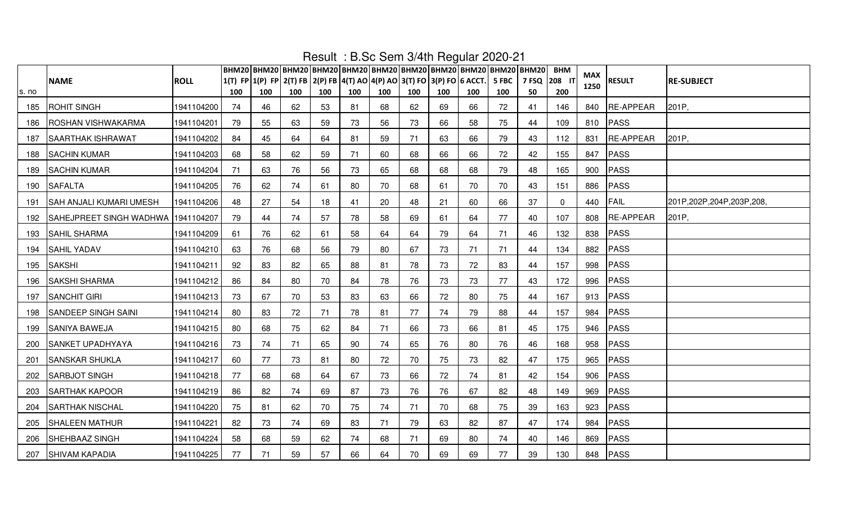|       |                                    |             |     | ВНМ20 ВНМ20 ВНМ20 ВНМ20 ВНМ20 ВНМ20 ВНМ20 ВНМ20 ВНМ20 ВНМ20 ВНМ20       |     |     |     |     |     |     |     |       |             | <b>BHM</b> |            |                  |                              |
|-------|------------------------------------|-------------|-----|-------------------------------------------------------------------------|-----|-----|-----|-----|-----|-----|-----|-------|-------------|------------|------------|------------------|------------------------------|
|       | <b>NAME</b>                        | <b>ROLL</b> |     | 1(T) FP 1(P) FP 2(T) FB 2(P) FB 4(T) AO 4(P) AO 3(T) FO 3(P) FO 6 ACCT. |     |     |     |     |     |     |     | 5 FBC | 7 FSQ 208 1 |            | <b>MAX</b> | <b>RESULT</b>    | <b>RE-SUBJECT</b>            |
| s. no |                                    |             | 100 | 100                                                                     | 100 | 100 | 100 | 100 | 100 | 100 | 100 | 100   | 50          | 200        | 1250       |                  |                              |
| 185   | <b>ROHIT SINGH</b>                 | 1941104200  | 74  | 46                                                                      | 62  | 53  | 81  | 68  | 62  | 69  | 66  | 72    | 41          | 146        | 840        | <b>RE-APPEAR</b> | 201P,                        |
| 186   | <b>ROSHAN VISHWAKARMA</b>          | 1941104201  | 79  | 55                                                                      | 63  | 59  | 73  | 56  | 73  | 66  | 58  | 75    | 44          | 109        | 810        | PASS             |                              |
| 187   | SAARTHAK ISHRAWAT                  | 1941104202  | 84  | 45                                                                      | 64  | 64  | 81  | 59  | 71  | 63  | 66  | 79    | 43          | 112        | 831        | <b>RE-APPEAR</b> | 201P,                        |
| 188   | <b>SACHIN KUMAR</b>                | 1941104203  | 68  | 58                                                                      | 62  | 59  | 71  | 60  | 68  | 66  | 66  | 72    | 42          | 155        | 847        | PASS             |                              |
| 189   | <b>SACHIN KUMAR</b>                | 1941104204  | 71  | 63                                                                      | 76  | 56  | 73  | 65  | 68  | 68  | 68  | 79    | 48          | 165        | 900        | PASS             |                              |
| 190   | <b>SAFALTA</b>                     | 1941104205  | 76  | 62                                                                      | 74  | 61  | 80  | 70  | 68  | 61  | 70  | 70    | 43          | 151        | 886        | PASS             |                              |
| 191   | SAH ANJALI KUMARI UMESH            | 1941104206  | 48  | 27                                                                      | 54  | 18  | 41  | 20  | 48  | 21  | 60  | 66    | 37          | 0          | 440        | FAIL             | 201P, 202P, 204P, 203P, 208, |
| 192   | SAHEJPREET SINGH WADHWA 1941104207 |             | 79  | 44                                                                      | 74  | 57  | 78  | 58  | 69  | 61  | 64  | 77    | 40          | 107        | 808        | RE-APPEAR        | 201P,                        |
| 193   | <b>SAHIL SHARMA</b>                | 1941104209  | 61  | 76                                                                      | 62  | 61  | 58  | 64  | 64  | 79  | 64  | 71    | 46          | 132        | 838        | PASS             |                              |
| 194   | <b>SAHIL YADAV</b>                 | 1941104210  | 63  | 76                                                                      | 68  | 56  | 79  | 80  | 67  | 73  | 71  | 71    | 44          | 134        | 882        | PASS             |                              |
| 195   | <b>SAKSHI</b>                      | 1941104211  | 92  | 83                                                                      | 82  | 65  | 88  | 81  | 78  | 73  | 72  | 83    | 44          | 157        | 998        | <b>PASS</b>      |                              |
| 196   | <b>SAKSHI SHARMA</b>               | 1941104212  | 86  | 84                                                                      | 80  | 70  | 84  | 78  | 76  | 73  | 73  | 77    | 43          | 172        | 996        | PASS             |                              |
| 197   | <b>SANCHIT GIRI</b>                | 1941104213  | 73  | 67                                                                      | 70  | 53  | 83  | 63  | 66  | 72  | 80  | 75    | 44          | 167        |            | 913 PASS         |                              |
| 198   | SANDEEP SINGH SAINI                | 1941104214  | 80  | 83                                                                      | 72  | 71  | 78  | 81  | 77  | 74  | 79  | 88    | 44          | 157        | 984        | PASS             |                              |
| 199   | <b>SANIYA BAWEJA</b>               | 1941104215  | 80  | 68                                                                      | 75  | 62  | 84  | 71  | 66  | 73  | 66  | 81    | 45          | 175        | 946        | PASS             |                              |
| 200   | <b>SANKET UPADHYAYA</b>            | 1941104216  | 73  | 74                                                                      | 71  | 65  | 90  | 74  | 65  | 76  | 80  | 76    | 46          | 168        | 958        | PASS             |                              |
| 201   | <b>SANSKAR SHUKLA</b>              | 1941104217  | 60  | 77                                                                      | 73  | 81  | 80  | 72  | 70  | 75  | 73  | 82    | 47          | 175        | 965        | PASS             |                              |
| 202   | <b>SARBJOT SINGH</b>               | 1941104218  | 77  | 68                                                                      | 68  | 64  | 67  | 73  | 66  | 72  | 74  | 81    | 42          | 154        | 906        | <b>PASS</b>      |                              |
| 203   | <b>SARTHAK KAPOOR</b>              | 1941104219  | 86  | 82                                                                      | 74  | 69  | 87  | 73  | 76  | 76  | 67  | 82    | 48          | 149        | 969        | PASS             |                              |
| 204   | SARTHAK NISCHAL                    | 1941104220  | 75  | 81                                                                      | 62  | 70  | 75  | 74  | 71  | 70  | 68  | 75    | 39          | 163        | 923        | <b>PASS</b>      |                              |
| 205   | <b>SHALEEN MATHUR</b>              | 1941104221  | 82  | 73                                                                      | 74  | 69  | 83  | 71  | 79  | 63  | 82  | 87    | 47          | 174        | 984        | PASS             |                              |
| 206   | SHEHBAAZ SINGH                     | 1941104224  | 58  | 68                                                                      | 59  | 62  | 74  | 68  | 71  | 69  | 80  | 74    | 40          | 146        | 869        | PASS             |                              |
| 207   | <b>SHIVAM KAPADIA</b>              | 1941104225  | 77  | 71                                                                      | 59  | 57  | 66  | 64  | 70  | 69  | 69  | 77    | 39          | 130        |            | 848 PASS         |                              |

Result : B.Sc Sem 3/4th Regular 2020-21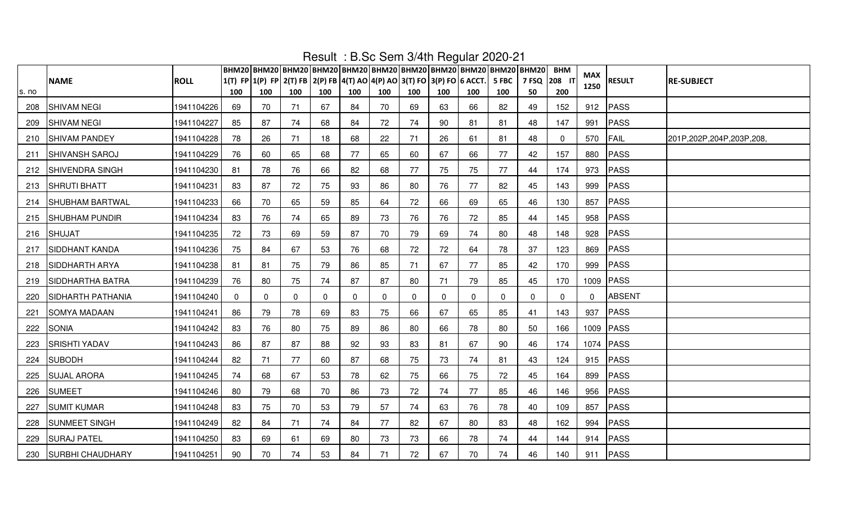|       |                          |             |          |                                                                         |             |     |          |          |             |             | $1.000$ $1.00000$ $1.00000$ |          | ВНМ20   ВНМ20   ВНМ20   ВНМ20   ВНМ20   ВНМ20   ВНМ20   ВНМ20   ВНМ20   ВНМ20   ВНМ20 | <b>BHM</b>  |             |               |                              |
|-------|--------------------------|-------------|----------|-------------------------------------------------------------------------|-------------|-----|----------|----------|-------------|-------------|-----------------------------|----------|---------------------------------------------------------------------------------------|-------------|-------------|---------------|------------------------------|
|       | <b>NAME</b>              | <b>ROLL</b> |          | 1(T) FP 1(P) FP 2(T) FB 2(P) FB 4(T) AO 4(P) AO 3(T) FO 3(P) FO 6 ACCT. |             |     |          |          |             |             |                             | 5 FBC    | דו 208 PSQ                                                                            |             | MAX<br>1250 | <b>RESULT</b> | <b>RE-SUBJECT</b>            |
| s. no |                          |             | 100      | 100                                                                     | 100         | 100 | 100      | 100      | 100         | 100         | 100                         | 100      | 50                                                                                    | 200         |             |               |                              |
| 208   | <b>SHIVAM NEGI</b>       | 1941104226  | 69       | 70                                                                      | 71          | 67  | 84       | 70       | 69          | 63          | 66                          | 82       | 49                                                                                    | 152         |             | 912 PASS      |                              |
| 209   | <b>SHIVAM NEGI</b>       | 1941104227  | 85       | 87                                                                      | 74          | 68  | 84       | 72       | 74          | 90          | 81                          | 81       | 48                                                                                    | 147         | 991         | PASS          |                              |
| 210   | <b>SHIVAM PANDEY</b>     | 1941104228  | 78       | 26                                                                      | 71          | 18  | 68       | 22       | 71          | 26          | 61                          | 81       | 48                                                                                    | $\mathbf 0$ | 570         | FAIL          | 201P, 202P, 204P, 203P, 208, |
| 211   | <b>SHIVANSH SAROJ</b>    | 1941104229  | 76       | 60                                                                      | 65          | 68  | 77       | 65       | 60          | 67          | 66                          | 77       | 42                                                                                    | 157         | 880         | PASS          |                              |
|       | 212 SHIVENDRA SINGH      | 1941104230  | 81       | 78                                                                      | 76          | 66  | 82       | 68       | 77          | 75          | 75                          | 77       | 44                                                                                    | 174         | 973         | PASS          |                              |
| 213   | <b>SHRUTI BHATT</b>      | 1941104231  | 83       | 87                                                                      | 72          | 75  | 93       | 86       | 80          | 76          | 77                          | 82       | 45                                                                                    | 143         | 999         | PASS          |                              |
| 214   | <b>SHUBHAM BARTWAL</b>   | 1941104233  | 66       | 70                                                                      | 65          | 59  | 85       | 64       | 72          | 66          | 69                          | 65       | 46                                                                                    | 130         | 857         | PASS          |                              |
| 215   | <b>SHUBHAM PUNDIR</b>    | 1941104234  | 83       | 76                                                                      | 74          | 65  | 89       | 73       | 76          | 76          | 72                          | 85       | 44                                                                                    | 145         | 958         | PASS          |                              |
| 216   | <b>SHUJAT</b>            | 1941104235  | 72       | 73                                                                      | 69          | 59  | 87       | 70       | 79          | 69          | 74                          | 80       | 48                                                                                    | 148         | 928         | PASS          |                              |
| 217   | <b>SIDDHANT KANDA</b>    | 1941104236  | 75       | 84                                                                      | 67          | 53  | 76       | 68       | 72          | 72          | 64                          | 78       | 37                                                                                    | 123         | 869         | PASS          |                              |
| 218   | <b>SIDDHARTH ARYA</b>    | 1941104238  | 81       | 81                                                                      | 75          | 79  | 86       | 85       | 71          | 67          | 77                          | 85       | 42                                                                                    | 170         | 999         | PASS          |                              |
| 219   | SIDDHARTHA BATRA         | 1941104239  | 76       | 80                                                                      | 75          | 74  | 87       | 87       | 80          | 71          | 79                          | 85       | 45                                                                                    | 170         |             | 1009 PASS     |                              |
| 220   | <b>SIDHARTH PATHANIA</b> | 1941104240  | $\Omega$ | $\mathbf 0$                                                             | $\mathbf 0$ | 0   | $\Omega$ | $\Omega$ | $\mathbf 0$ | $\mathbf 0$ | $\mathbf{0}$                | $\Omega$ | $\Omega$                                                                              | $\mathbf 0$ | $\Omega$    | ABSENT        |                              |
| 221   | <b>SOMYA MADAAN</b>      | 1941104241  | 86       | 79                                                                      | 78          | 69  | 83       | 75       | 66          | 67          | 65                          | 85       | 41                                                                                    | 143         | 937         | PASS          |                              |
| 222   | <b>SONIA</b>             | 1941104242  | 83       | 76                                                                      | 80          | 75  | 89       | 86       | 80          | 66          | 78                          | 80       | 50                                                                                    | 166         |             | 1009 PASS     |                              |
| 223   | <b>SRISHTI YADAV</b>     | 1941104243  | 86       | 87                                                                      | 87          | 88  | 92       | 93       | 83          | 81          | 67                          | 90       | 46                                                                                    | 174         |             | 1074 PASS     |                              |
| 224   | <b>SUBODH</b>            | 1941104244  | 82       | 71                                                                      | 77          | 60  | 87       | 68       | 75          | 73          | 74                          | 81       | 43                                                                                    | 124         |             | 915 $PASS$    |                              |
| 225   | <b>SUJAL ARORA</b>       | 1941104245  | 74       | 68                                                                      | 67          | 53  | 78       | 62       | 75          | 66          | 75                          | 72       | 45                                                                                    | 164         | 899         | PASS          |                              |
| 226   | <b>SUMEET</b>            | 1941104246  | 80       | 79                                                                      | 68          | 70  | 86       | 73       | 72          | 74          | 77                          | 85       | 46                                                                                    | 146         | 956         | PASS          |                              |
| 227   | <b>SUMIT KUMAR</b>       | 1941104248  | -83      | 75                                                                      | 70          | 53  | 79       | 57       | 74          | 63          | 76                          | 78       | 40                                                                                    | 109         | 857         | PASS          |                              |
| 228   | <b>SUNMEET SINGH</b>     | 1941104249  | 82       | 84                                                                      | 71          | 74  | 84       | 77       | 82          | 67          | 80                          | 83       | 48                                                                                    | 162         | 994         | PASS          |                              |
| 229   | <b>SURAJ PATEL</b>       | 1941104250  | 83       | 69                                                                      | 61          | 69  | 80       | 73       | 73          | 66          | 78                          | 74       | 44                                                                                    | 144         |             | 914 PASS      |                              |
|       | 230 SURBHI CHAUDHARY     | 1941104251  | 90       | 70                                                                      | 74          | 53  | 84       | 71       | 72          | 67          | 70                          | 74       | 46                                                                                    | 140         |             | 911   PASS    |                              |

Result : B.Sc Sem 3/4th Regular 2020-21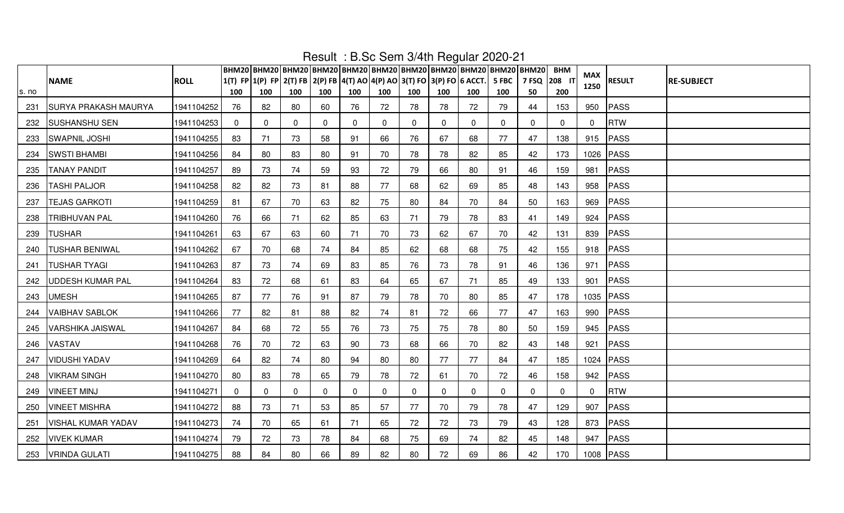|       |                             |             |             | ВНМ20 ВНМ20 ВНМ20 ВНМ20 ВНМ20 ВНМ20 ВНМ20 ВНМ20 ВНМ20 ВНМ20 ВНМ20              |              | 1100an 19100 00111 07 1111 10gaidi 2020 |          |             |             |             |              |              |                      | <b>BHM</b>   | MAX          |               |                   |
|-------|-----------------------------|-------------|-------------|--------------------------------------------------------------------------------|--------------|-----------------------------------------|----------|-------------|-------------|-------------|--------------|--------------|----------------------|--------------|--------------|---------------|-------------------|
| s. no | <b>NAME</b>                 | <b>ROLL</b> | 100         | 1(T) FP 1(P) FP 2(T) FB 2(P) FB 4(T) AO 4(P) AO 3(T) FO 3(P) FO 6 ACCT.<br>100 | 100          | 100                                     | 100      | 100         | 100         | 100         | 100          | 5 FBC<br>100 | דו 208 P 7 FSQ<br>50 | 200          | 1250         | <b>RESULT</b> | <b>RE-SUBJECT</b> |
| 231   | <b>SURYA PRAKASH MAURYA</b> | 1941104252  | 76          | 82                                                                             | 80           | 60                                      | 76       | 72          | 78          | 78          | 72           | 79           | 44                   | 153          | 950          | PASS          |                   |
| 232   | <b>SUSHANSHU SEN</b>        | 1941104253  | $\mathbf 0$ | 0                                                                              | $\mathbf{0}$ | $\mathbf{0}$                            | 0        | $\mathbf 0$ | $\mathbf 0$ | $\mathbf 0$ | $\mathbf{0}$ | 0            | 0                    | $\mathbf{0}$ | $\Omega$     | <b>RTW</b>    |                   |
| 233   | <b>SWAPNIL JOSHI</b>        | 1941104255  | 83          | 71                                                                             | 73           | 58                                      | 91       | 66          | 76          | 67          | 68           | 77           | 47                   | 138          |              | 915 PASS      |                   |
| 234   | <b>SWSTI BHAMBI</b>         | 1941104256  | 84          | 80                                                                             | 83           | 80                                      | 91       | 70          | 78          | 78          | 82           | 85           | 42                   | 173          |              | 1026 PASS     |                   |
| 235   | <b>TANAY PANDIT</b>         | 1941104257  | 89          | 73                                                                             | 74           | 59                                      | 93       | 72          | 79          | 66          | 80           | 91           | 46                   | 159          | 981          | PASS          |                   |
| 236   | <b>TASHI PALJOR</b>         | 1941104258  | 82          | 82                                                                             | 73           | 81                                      | 88       | 77          | 68          | 62          | 69           | 85           | 48                   | 143          |              | 958 PASS      |                   |
| 237   | <b>TEJAS GARKOTI</b>        | 1941104259  | 81          | 67                                                                             | 70           | 63                                      | 82       | 75          | 80          | 84          | 70           | 84           | 50                   | 163          | 969          | PASS          |                   |
| 238   | <b>TRIBHUVAN PAL</b>        | 1941104260  | 76          | 66                                                                             | 71           | 62                                      | 85       | 63          | 71          | 79          | 78           | 83           | 41                   | 149          |              | 924 PASS      |                   |
| 239   | <b>TUSHAR</b>               | 1941104261  | 63          | 67                                                                             | 63           | 60                                      | 71       | 70          | 73          | 62          | 67           | 70           | 42                   | 131          |              | 839 PASS      |                   |
| 240   | <b>TUSHAR BENIWAL</b>       | 1941104262  | 67          | 70                                                                             | 68           | 74                                      | 84       | 85          | 62          | 68          | 68           | 75           | 42                   | 155          |              | 918 PASS      |                   |
| 241   | <b>TUSHAR TYAGI</b>         | 1941104263  | 87          | 73                                                                             | 74           | 69                                      | 83       | 85          | 76          | 73          | 78           | 91           | 46                   | 136          |              | 971 PASS      |                   |
| 242   | <b>UDDESH KUMAR PAL</b>     | 1941104264  | 83          | 72                                                                             | 68           | 61                                      | 83       | 64          | 65          | 67          | 71           | 85           | 49                   | 133          |              | 901   PASS    |                   |
| 243   | <b>UMESH</b>                | 1941104265  | 87          | 77                                                                             | 76           | 91                                      | 87       | 79          | 78          | 70          | 80           | 85           | 47                   | 178          |              | 1035 PASS     |                   |
| 244   | <b>VAIBHAV SABLOK</b>       | 1941104266  | 77          | 82                                                                             | 81           | 88                                      | 82       | 74          | 81          | 72          | 66           | 77           | 47                   | 163          |              | 990 PASS      |                   |
| 245   | <b>VARSHIKA JAISWAL</b>     | 1941104267  | 84          | 68                                                                             | 72           | 55                                      | 76       | 73          | 75          | 75          | 78           | 80           | 50                   | 159          |              | 945 PASS      |                   |
| 246   | <b>VASTAV</b>               | 1941104268  | 76          | 70                                                                             | 72           | 63                                      | 90       | 73          | 68          | 66          | 70           | 82           | 43                   | 148          | 921          | PASS          |                   |
| 247   | <b>VIDUSHI YADAV</b>        | 1941104269  | 64          | 82                                                                             | 74           | 80                                      | 94       | 80          | 80          | 77          | 77           | 84           | 47                   | 185          |              | 1024 PASS     |                   |
| 248   | <b>VIKRAM SINGH</b>         | 1941104270  | 80          | 83                                                                             | 78           | 65                                      | 79       | 78          | 72          | 61          | 70           | 72           | 46                   | 158          |              | 942 PASS      |                   |
| 249   | <b>VINEET MINJ</b>          | 1941104271  | $\mathbf 0$ | 0                                                                              | $\mathbf 0$  | $\mathbf{0}$                            | $\Omega$ | $\mathbf 0$ | 0           | $\mathbf 0$ | $\mathbf{0}$ | $\Omega$     | $\Omega$             | $\mathbf{0}$ | $\mathbf{0}$ | <b>RTW</b>    |                   |
| 250   | <b>VINEET MISHRA</b>        | 1941104272  | 88          | 73                                                                             | 71           | 53                                      | 85       | 57          | 77          | 70          | 79           | 78           | 47                   | 129          | 907          | PASS          |                   |
| 251   | <b>VISHAL KUMAR YADAV</b>   | 1941104273  | 74          | 70                                                                             | 65           | 61                                      | 71       | 65          | 72          | 72          | 73           | 79           | 43                   | 128          |              | 873 PASS      |                   |
| 252   | <b>VIVEK KUMAR</b>          | 1941104274  | 79          | 72                                                                             | 73           | 78                                      | 84       | 68          | 75          | 69          | 74           | 82           | 45                   | 148          | 947          | PASS          |                   |
|       | 253   VRINDA GULATI         | 1941104275  | 88          | 84                                                                             | 80           | 66                                      | 89       | 82          | 80          | 72          | 69           | 86           | 42                   | 170          |              | 1008 PASS     |                   |

Result : B.Sc Sem 3/4th Regular 2020-21